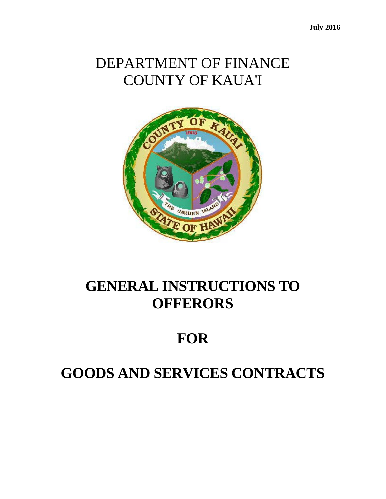# DEPARTMENT OF FINANCE COUNTY OF KAUA'I



# **GENERAL INSTRUCTIONS TO OFFERORS**

# **FOR**

# **GOODS AND SERVICES CONTRACTS**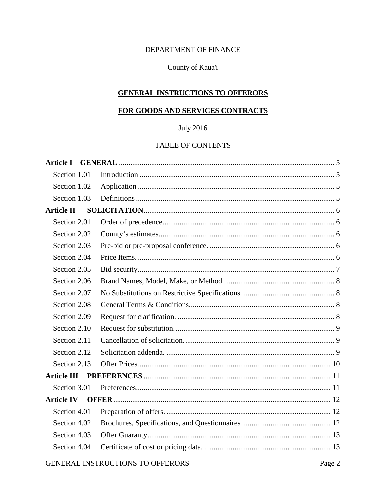### DEPARTMENT OF FINANCE

### County of Kaua'i

#### **GENERAL INSTRUCTIONS TO OFFERORS**

# FOR GOODS AND SERVICES CONTRACTS

## **July 2016**

#### **TABLE OF CONTENTS**

| <b>Article I</b>  |  |
|-------------------|--|
| Section 1.01      |  |
| Section 1.02      |  |
| Section 1.03      |  |
| <b>Article II</b> |  |
| Section 2.01      |  |
| Section 2.02      |  |
| Section 2.03      |  |
| Section 2.04      |  |
| Section 2.05      |  |
| Section 2.06      |  |
| Section 2.07      |  |
| Section 2.08      |  |
| Section 2.09      |  |
| Section 2.10      |  |
| Section 2.11      |  |
| Section 2.12      |  |
| Section 2.13      |  |
|                   |  |
| Section 3.01      |  |
| <b>Article IV</b> |  |
| Section 4.01      |  |
| Section 4.02      |  |
| Section 4.03      |  |
| Section 4.04      |  |
|                   |  |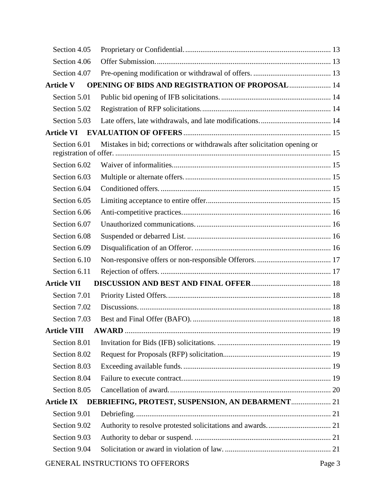| Section 4.05        |                                                                           |        |
|---------------------|---------------------------------------------------------------------------|--------|
| Section 4.06        |                                                                           |        |
| Section 4.07        |                                                                           |        |
| <b>Article V</b>    | <b>OPENING OF BIDS AND REGISTRATION OF PROPOSAL  14</b>                   |        |
| Section 5.01        |                                                                           |        |
| Section 5.02        |                                                                           |        |
| Section 5.03        |                                                                           |        |
| <b>Article VI</b>   |                                                                           |        |
| Section 6.01        | Mistakes in bid; corrections or withdrawals after solicitation opening or |        |
| Section 6.02        |                                                                           |        |
| Section 6.03        |                                                                           |        |
| Section 6.04        |                                                                           |        |
| Section 6.05        |                                                                           |        |
| Section 6.06        |                                                                           |        |
| Section 6.07        |                                                                           |        |
| Section 6.08        |                                                                           |        |
| Section 6.09        |                                                                           |        |
| Section 6.10        |                                                                           |        |
| Section 6.11        |                                                                           |        |
| <b>Article VII</b>  |                                                                           |        |
| Section 7.01        |                                                                           |        |
| Section 7.02        |                                                                           |        |
| Section 7.03        |                                                                           |        |
| <b>Article VIII</b> |                                                                           |        |
| Section 8.01        |                                                                           |        |
| Section 8.02        |                                                                           |        |
| Section 8.03        |                                                                           |        |
| Section 8.04        |                                                                           |        |
| Section 8.05        |                                                                           |        |
| <b>Article IX</b>   | DEBRIEFING, PROTEST, SUSPENSION, AN DEBARMENT 21                          |        |
| Section 9.01        |                                                                           |        |
| Section 9.02        |                                                                           |        |
| Section 9.03        |                                                                           |        |
| Section 9.04        |                                                                           |        |
|                     | GENERAL INSTRUCTIONS TO OFFERORS                                          | Page 3 |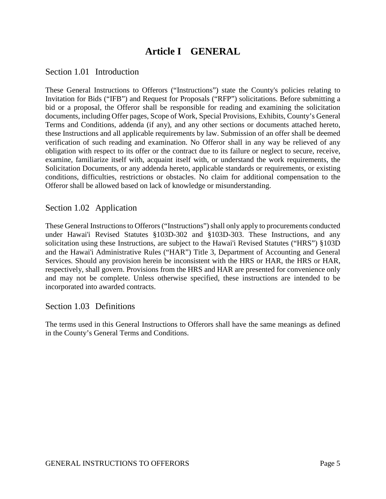# **Article I GENERAL**

### <span id="page-4-1"></span><span id="page-4-0"></span>Section 1.01 Introduction

These General Instructions to Offerors ("Instructions") state the County's policies relating to Invitation for Bids ("IFB") and Request for Proposals ("RFP") solicitations. Before submitting a bid or a proposal, the Offeror shall be responsible for reading and examining the solicitation documents, including Offer pages, Scope of Work, Special Provisions, Exhibits, County's General Terms and Conditions, addenda (if any), and any other sections or documents attached hereto, these Instructions and all applicable requirements by law. Submission of an offer shall be deemed verification of such reading and examination. No Offeror shall in any way be relieved of any obligation with respect to its offer or the contract due to its failure or neglect to secure, receive, examine, familiarize itself with, acquaint itself with, or understand the work requirements, the Solicitation Documents, or any addenda hereto, applicable standards or requirements, or existing conditions, difficulties, restrictions or obstacles. No claim for additional compensation to the Offeror shall be allowed based on lack of knowledge or misunderstanding.

### <span id="page-4-2"></span>Section 1.02 Application

These General Instructions to Offerors ("Instructions") shall only apply to procurements conducted under Hawai'i Revised Statutes §103D-302 and §103D-303. These Instructions, and any solicitation using these Instructions, are subject to the Hawai'i Revised Statutes ("HRS") §103D and the Hawai'i Administrative Rules ("HAR") Title 3, Department of Accounting and General Services. Should any provision herein be inconsistent with the HRS or HAR, the HRS or HAR, respectively, shall govern. Provisions from the HRS and HAR are presented for convenience only and may not be complete. Unless otherwise specified, these instructions are intended to be incorporated into awarded contracts.

### <span id="page-4-3"></span>Section 1.03 Definitions

The terms used in this General Instructions to Offerors shall have the same meanings as defined in the County's General Terms and Conditions.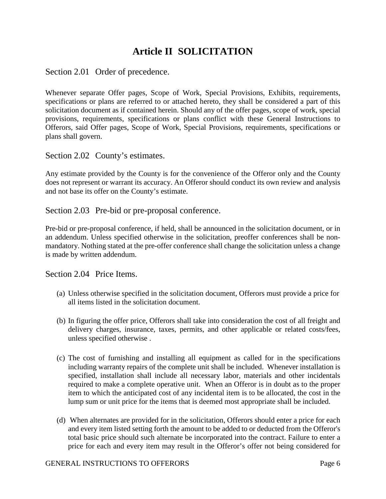# **Article II SOLICITATION**

<span id="page-5-1"></span><span id="page-5-0"></span>Section 2.01 Order of precedence.

Whenever separate Offer pages, Scope of Work, Special Provisions, Exhibits, requirements, specifications or plans are referred to or attached hereto, they shall be considered a part of this solicitation document as if contained herein. Should any of the offer pages, scope of work, special provisions, requirements, specifications or plans conflict with these General Instructions to Offerors, said Offer pages, Scope of Work, Special Provisions, requirements, specifications or plans shall govern.

<span id="page-5-2"></span>Section 2.02 County's estimates.

Any estimate provided by the County is for the convenience of the Offeror only and the County does not represent or warrant its accuracy. An Offeror should conduct its own review and analysis and not base its offer on the County's estimate.

<span id="page-5-3"></span>Section 2.03 Pre-bid or pre-proposal conference.

Pre-bid or pre-proposal conference, if held, shall be announced in the solicitation document, or in an addendum. Unless specified otherwise in the solicitation, preoffer conferences shall be nonmandatory. Nothing stated at the pre-offer conference shall change the solicitation unless a change is made by written addendum.

<span id="page-5-4"></span>Section 2.04 Price Items.

- (a) Unless otherwise specified in the solicitation document, Offerors must provide a price for all items listed in the solicitation document.
- (b) In figuring the offer price, Offerors shall take into consideration the cost of all freight and delivery charges, insurance, taxes, permits, and other applicable or related costs/fees, unless specified otherwise .
- (c) The cost of furnishing and installing all equipment as called for in the specifications including warranty repairs of the complete unit shall be included. Whenever installation is specified, installation shall include all necessary labor, materials and other incidentals required to make a complete operative unit. When an Offeror is in doubt as to the proper item to which the anticipated cost of any incidental item is to be allocated, the cost in the lump sum or unit price for the items that is deemed most appropriate shall be included.
- (d) When alternates are provided for in the solicitation, Offerors should enter a price for each and every item listed setting forth the amount to be added to or deducted from the Offeror's total basic price should such alternate be incorporated into the contract. Failure to enter a price for each and every item may result in the Offeror's offer not being considered for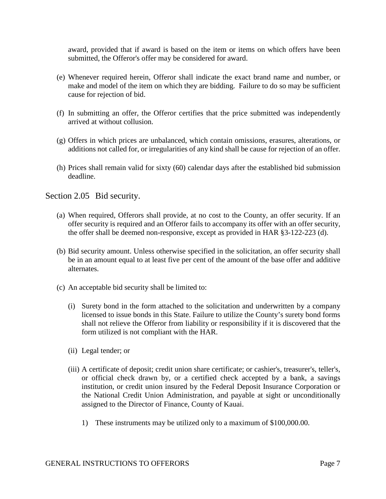award, provided that if award is based on the item or items on which offers have been submitted, the Offeror's offer may be considered for award.

- (e) Whenever required herein, Offeror shall indicate the exact brand name and number, or make and model of the item on which they are bidding. Failure to do so may be sufficient cause for rejection of bid.
- (f) In submitting an offer, the Offeror certifies that the price submitted was independently arrived at without collusion.
- (g) Offers in which prices are unbalanced, which contain omissions, erasures, alterations, or additions not called for, or irregularities of any kind shall be cause for rejection of an offer.
- (h) Prices shall remain valid for sixty (60) calendar days after the established bid submission deadline.

<span id="page-6-0"></span>Section 2.05 Bid security.

- (a) When required, Offerors shall provide, at no cost to the County, an offer security. If an offer security is required and an Offeror fails to accompany its offer with an offer security, the offer shall be deemed non-responsive, except as provided in HAR §3-122-223 (d).
- (b) Bid security amount. Unless otherwise specified in the solicitation, an offer security shall be in an amount equal to at least five per cent of the amount of the base offer and additive alternates.
- (c) An acceptable bid security shall be limited to:
	- (i) Surety bond in the form attached to the solicitation and underwritten by a company licensed to issue bonds in this State. Failure to utilize the County's surety bond forms shall not relieve the Offeror from liability or responsibility if it is discovered that the form utilized is not compliant with the HAR.
	- (ii) Legal tender; or
	- (iii) A certificate of deposit; credit union share certificate; or cashier's, treasurer's, teller's, or official check drawn by, or a certified check accepted by a bank, a savings institution, or credit union insured by the Federal Deposit Insurance Corporation or the National Credit Union Administration, and payable at sight or unconditionally assigned to the Director of Finance, County of Kauai.
		- 1) These instruments may be utilized only to a maximum of \$100,000.00.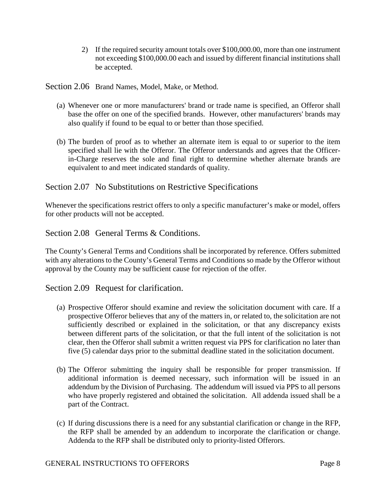2) If the required security amount totals over \$100,000.00, more than one instrument not exceeding \$100,000.00 each and issued by different financial institutions shall be accepted.

<span id="page-7-0"></span>Section 2.06 Brand Names, Model, Make, or Method.

- (a) Whenever one or more manufacturers' brand or trade name is specified, an Offeror shall base the offer on one of the specified brands. However, other manufacturers' brands may also qualify if found to be equal to or better than those specified.
- (b) The burden of proof as to whether an alternate item is equal to or superior to the item specified shall lie with the Offeror. The Offeror understands and agrees that the Officerin-Charge reserves the sole and final right to determine whether alternate brands are equivalent to and meet indicated standards of quality.

## <span id="page-7-1"></span>Section 2.07 No Substitutions on Restrictive Specifications

Whenever the specifications restrict offers to only a specific manufacturer's make or model, offers for other products will not be accepted.

<span id="page-7-2"></span>Section 2.08 General Terms & Conditions.

The County's General Terms and Conditions shall be incorporated by reference. Offers submitted with any alterations to the County's General Terms and Conditions so made by the Offeror without approval by the County may be sufficient cause for rejection of the offer.

<span id="page-7-3"></span>Section 2.09 Request for clarification.

- (a) Prospective Offeror should examine and review the solicitation document with care. If a prospective Offeror believes that any of the matters in, or related to, the solicitation are not sufficiently described or explained in the solicitation, or that any discrepancy exists between different parts of the solicitation, or that the full intent of the solicitation is not clear, then the Offeror shall submit a written request via PPS for clarification no later than five (5) calendar days prior to the submittal deadline stated in the solicitation document.
- (b) The Offeror submitting the inquiry shall be responsible for proper transmission. If additional information is deemed necessary, such information will be issued in an addendum by the Division of Purchasing. The addendum will issued via PPS to all persons who have properly registered and obtained the solicitation. All addenda issued shall be a part of the Contract.
- (c) If during discussions there is a need for any substantial clarification or change in the RFP, the RFP shall be amended by an addendum to incorporate the clarification or change. Addenda to the RFP shall be distributed only to priority-listed Offerors.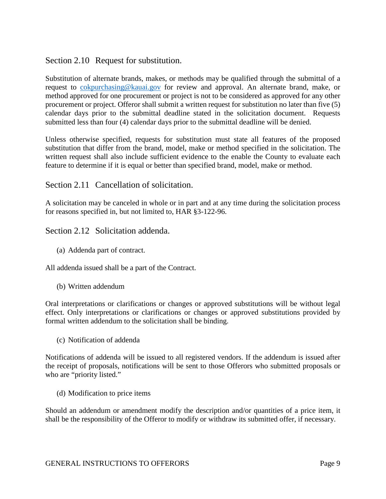<span id="page-8-0"></span>Section 2.10 Request for substitution.

Substitution of alternate brands, makes, or methods may be qualified through the submittal of a request to [cokpurchasing@kauai.gov](mailto:cokpurchasing@kauai.gov) for review and approval. An alternate brand, make, or method approved for one procurement or project is not to be considered as approved for any other procurement or project. Offeror shall submit a written request for substitution no later than five (5) calendar days prior to the submittal deadline stated in the solicitation document. Requests submitted less than four (4) calendar days prior to the submittal deadline will be denied.

Unless otherwise specified, requests for substitution must state all features of the proposed substitution that differ from the brand, model, make or method specified in the solicitation. The written request shall also include sufficient evidence to the enable the County to evaluate each feature to determine if it is equal or better than specified brand, model, make or method.

<span id="page-8-1"></span>Section 2.11 Cancellation of solicitation.

A solicitation may be canceled in whole or in part and at any time during the solicitation process for reasons specified in, but not limited to, HAR §3-122-96.

<span id="page-8-2"></span>Section 2.12 Solicitation addenda.

(a) Addenda part of contract.

All addenda issued shall be a part of the Contract.

(b) Written addendum

Oral interpretations or clarifications or changes or approved substitutions will be without legal effect. Only interpretations or clarifications or changes or approved substitutions provided by formal written addendum to the solicitation shall be binding.

(c) Notification of addenda

Notifications of addenda will be issued to all registered vendors. If the addendum is issued after the receipt of proposals, notifications will be sent to those Offerors who submitted proposals or who are "priority listed."

(d) Modification to price items

Should an addendum or amendment modify the description and/or quantities of a price item, it shall be the responsibility of the Offeror to modify or withdraw its submitted offer, if necessary.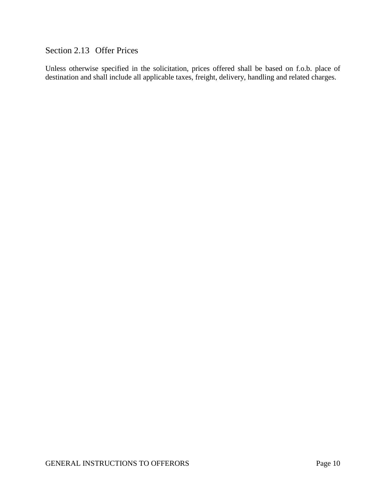## <span id="page-9-0"></span>Section 2.13 Offer Prices

Unless otherwise specified in the solicitation, prices offered shall be based on f.o.b. place of destination and shall include all applicable taxes, freight, delivery, handling and related charges.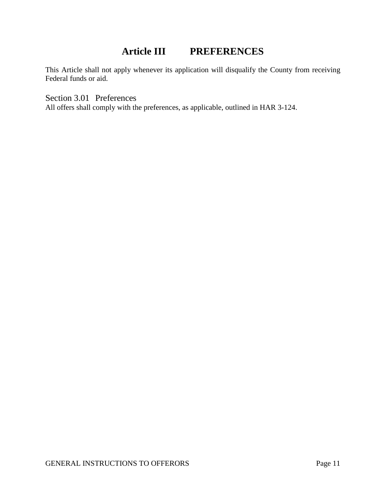## **Article III PREFERENCES**

<span id="page-10-0"></span>This Article shall not apply whenever its application will disqualify the County from receiving Federal funds or aid.

<span id="page-10-1"></span>Section 3.01 Preferences

All offers shall comply with the preferences, as applicable, outlined in HAR 3-124.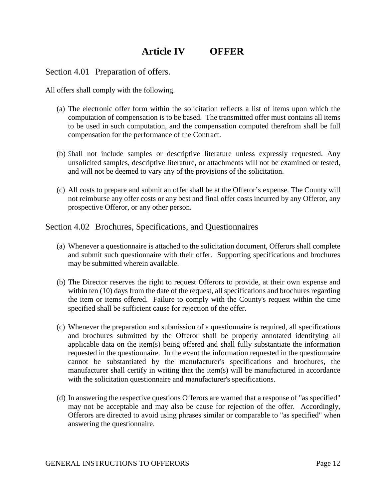# **Article IV OFFER**

<span id="page-11-1"></span><span id="page-11-0"></span>Section 4.01 Preparation of offers.

All offers shall comply with the following.

- (a) The electronic offer form within the solicitation reflects a list of items upon which the computation of compensation is to be based. The transmitted offer must contains all items to be used in such computation, and the compensation computed therefrom shall be full compensation for the performance of the Contract.
- (b) Shall not include samples or descriptive literature unless expressly requested. Any unsolicited samples, descriptive literature, or attachments will not be examined or tested, and will not be deemed to vary any of the provisions of the solicitation.
- (c) All costs to prepare and submit an offer shall be at the Offeror's expense. The County will not reimburse any offer costs or any best and final offer costs incurred by any Offeror, any prospective Offeror, or any other person.

<span id="page-11-2"></span>Section 4.02 Brochures, Specifications, and Questionnaires

- (a) Whenever a questionnaire is attached to the solicitation document, Offerors shall complete and submit such questionnaire with their offer. Supporting specifications and brochures may be submitted wherein available.
- (b) The Director reserves the right to request Offerors to provide, at their own expense and within ten (10) days from the date of the request, all specifications and brochures regarding the item or items offered. Failure to comply with the County's request within the time specified shall be sufficient cause for rejection of the offer.
- (c) Whenever the preparation and submission of a questionnaire is required, all specifications and brochures submitted by the Offeror shall be properly annotated identifying all applicable data on the item(s) being offered and shall fully substantiate the information requested in the questionnaire. In the event the information requested in the questionnaire cannot be substantiated by the manufacturer's specifications and brochures, the manufacturer shall certify in writing that the item(s) will be manufactured in accordance with the solicitation questionnaire and manufacturer's specifications.
- (d) In answering the respective questions Offerors are warned that a response of "as specified" may not be acceptable and may also be cause for rejection of the offer. Accordingly, Offerors are directed to avoid using phrases similar or comparable to "as specified" when answering the questionnaire.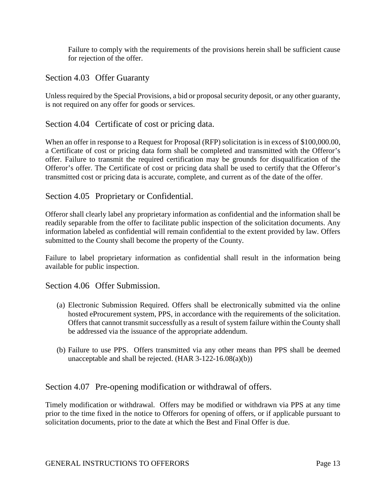Failure to comply with the requirements of the provisions herein shall be sufficient cause for rejection of the offer.

<span id="page-12-0"></span>Section 4.03 Offer Guaranty

Unless required by the Special Provisions, a bid or proposal security deposit, or any other guaranty, is not required on any offer for goods or services.

<span id="page-12-1"></span>Section 4.04 Certificate of cost or pricing data.

When an offer in response to a Request for Proposal (RFP) solicitation is in excess of \$100,000.00, a Certificate of cost or pricing data form shall be completed and transmitted with the Offeror's offer. Failure to transmit the required certification may be grounds for disqualification of the Offeror's offer. The Certificate of cost or pricing data shall be used to certify that the Offeror's transmitted cost or pricing data is accurate, complete, and current as of the date of the offer.

<span id="page-12-2"></span>Section 4.05 Proprietary or Confidential.

Offeror shall clearly label any proprietary information as confidential and the information shall be readily separable from the offer to facilitate public inspection of the solicitation documents. Any information labeled as confidential will remain confidential to the extent provided by law. Offers submitted to the County shall become the property of the County.

Failure to label proprietary information as confidential shall result in the information being available for public inspection.

<span id="page-12-3"></span>Section 4.06 Offer Submission.

- (a) Electronic Submission Required. Offers shall be electronically submitted via the online hosted eProcurement system, PPS, in accordance with the requirements of the solicitation. Offers that cannot transmit successfully as a result of system failure within the County shall be addressed via the issuance of the appropriate addendum.
- (b) Failure to use PPS. Offers transmitted via any other means than PPS shall be deemed unacceptable and shall be rejected. (HAR 3-122-16.08(a)(b))

<span id="page-12-4"></span>Section 4.07 Pre-opening modification or withdrawal of offers.

Timely modification or withdrawal. Offers may be modified or withdrawn via PPS at any time prior to the time fixed in the notice to Offerors for opening of offers, or if applicable pursuant to solicitation documents, prior to the date at which the Best and Final Offer is due.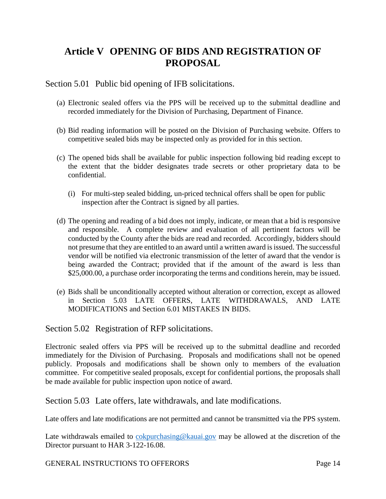# <span id="page-13-0"></span>**Article V OPENING OF BIDS AND REGISTRATION OF PROPOSAL**

#### <span id="page-13-1"></span>Section 5.01 Public bid opening of IFB solicitations.

- (a) Electronic sealed offers via the PPS will be received up to the submittal deadline and recorded immediately for the Division of Purchasing, Department of Finance.
- (b) Bid reading information will be posted on the Division of Purchasing website. Offers to competitive sealed bids may be inspected only as provided for in this section.
- (c) The opened bids shall be available for public inspection following bid reading except to the extent that the bidder designates trade secrets or other proprietary data to be confidential.
	- (i) For multi-step sealed bidding, un-priced technical offers shall be open for public inspection after the Contract is signed by all parties.
- (d) The opening and reading of a bid does not imply, indicate, or mean that a bid is responsive and responsible. A complete review and evaluation of all pertinent factors will be conducted by the County after the bids are read and recorded. Accordingly, bidders should not presume that they are entitled to an award until a written award is issued. The successful vendor will be notified via electronic transmission of the letter of award that the vendor is being awarded the Contract; provided that if the amount of the award is less than \$25,000.00, a purchase order incorporating the terms and conditions herein, may be issued.
- (e) Bids shall be unconditionally accepted without alteration or correction, except as allowed in Section 5.03 LATE OFFERS, LATE WITHDRAWALS, AND LATE MODIFICATIONS and Section 6.01 MISTAKES IN BIDS.

<span id="page-13-2"></span>Section 5.02 Registration of RFP solicitations.

Electronic sealed offers via PPS will be received up to the submittal deadline and recorded immediately for the Division of Purchasing. Proposals and modifications shall not be opened publicly. Proposals and modifications shall be shown only to members of the evaluation committee. For competitive sealed proposals, except for confidential portions, the proposals shall be made available for public inspection upon notice of award.

<span id="page-13-3"></span>Section 5.03 Late offers, late withdrawals, and late modifications.

Late offers and late modifications are not permitted and cannot be transmitted via the PPS system.

Late withdrawals emailed to [cokpurchasing@kauai.gov](mailto:cokpurchasing@kauai.gov) may be allowed at the discretion of the Director pursuant to HAR 3-122-16.08.

GENERAL INSTRUCTIONS TO OFFERORS TO Page 14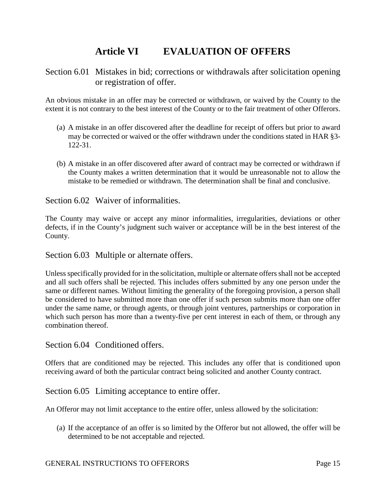# **Article VI EVALUATION OF OFFERS**

## <span id="page-14-1"></span><span id="page-14-0"></span>Section 6.01 Mistakes in bid; corrections or withdrawals after solicitation opening or registration of offer.

An obvious mistake in an offer may be corrected or withdrawn, or waived by the County to the extent it is not contrary to the best interest of the County or to the fair treatment of other Offerors.

- (a) A mistake in an offer discovered after the deadline for receipt of offers but prior to award may be corrected or waived or the offer withdrawn under the conditions stated in HAR §3- 122-31.
- (b) A mistake in an offer discovered after award of contract may be corrected or withdrawn if the County makes a written determination that it would be unreasonable not to allow the mistake to be remedied or withdrawn. The determination shall be final and conclusive.

### <span id="page-14-2"></span>Section 6.02 Waiver of informalities.

The County may waive or accept any minor informalities, irregularities, deviations or other defects, if in the County's judgment such waiver or acceptance will be in the best interest of the County.

<span id="page-14-3"></span>Section 6.03 Multiple or alternate offers.

Unless specifically provided for in the solicitation, multiple or alternate offers shall not be accepted and all such offers shall be rejected. This includes offers submitted by any one person under the same or different names. Without limiting the generality of the foregoing provision, a person shall be considered to have submitted more than one offer if such person submits more than one offer under the same name, or through agents, or through joint ventures, partnerships or corporation in which such person has more than a twenty-five per cent interest in each of them, or through any combination thereof.

<span id="page-14-4"></span>Section 6.04 Conditioned offers.

Offers that are conditioned may be rejected. This includes any offer that is conditioned upon receiving award of both the particular contract being solicited and another County contract.

<span id="page-14-5"></span>Section 6.05 Limiting acceptance to entire offer.

An Offeror may not limit acceptance to the entire offer, unless allowed by the solicitation:

(a) If the acceptance of an offer is so limited by the Offeror but not allowed, the offer will be determined to be not acceptable and rejected.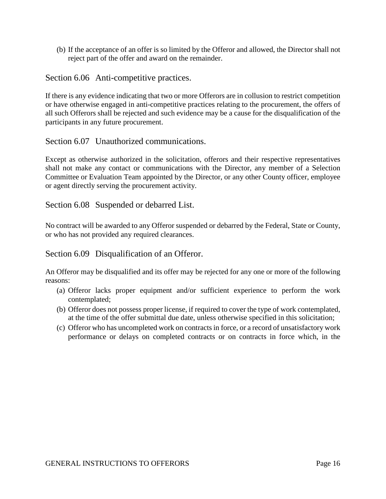(b) If the acceptance of an offer is so limited by the Offeror and allowed, the Director shall not reject part of the offer and award on the remainder.

<span id="page-15-0"></span>Section 6.06 Anti-competitive practices.

If there is any evidence indicating that two or more Offerors are in collusion to restrict competition or have otherwise engaged in anti-competitive practices relating to the procurement, the offers of all such Offerors shall be rejected and such evidence may be a cause for the disqualification of the participants in any future procurement.

<span id="page-15-1"></span>Section 6.07 Unauthorized communications.

Except as otherwise authorized in the solicitation, offerors and their respective representatives shall not make any contact or communications with the Director, any member of a Selection Committee or Evaluation Team appointed by the Director, or any other County officer, employee or agent directly serving the procurement activity.

<span id="page-15-2"></span>Section 6.08 Suspended or debarred List.

No contract will be awarded to any Offeror suspended or debarred by the Federal, State or County, or who has not provided any required clearances.

<span id="page-15-3"></span>Section 6.09 Disqualification of an Offeror.

An Offeror may be disqualified and its offer may be rejected for any one or more of the following reasons:

- (a) Offeror lacks proper equipment and/or sufficient experience to perform the work contemplated;
- (b) Offeror does not possess proper license, if required to cover the type of work contemplated, at the time of the offer submittal due date, unless otherwise specified in this solicitation;
- (c) Offeror who has uncompleted work on contracts in force, or a record of unsatisfactory work performance or delays on completed contracts or on contracts in force which, in the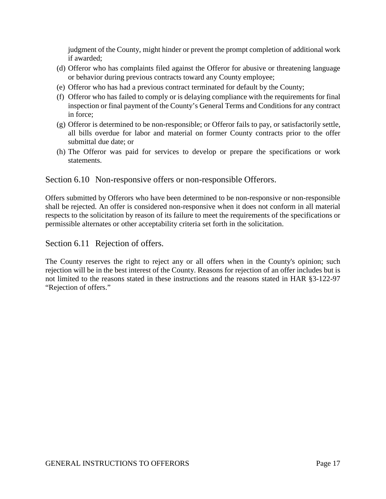judgment of the County, might hinder or prevent the prompt completion of additional work if awarded;

- (d) Offeror who has complaints filed against the Offeror for abusive or threatening language or behavior during previous contracts toward any County employee;
- (e) Offeror who has had a previous contract terminated for default by the County;
- (f) Offeror who has failed to comply or is delaying compliance with the requirements for final inspection or final payment of the County's General Terms and Conditions for any contract in force;
- (g) Offeror is determined to be non-responsible; or Offeror fails to pay, or satisfactorily settle, all bills overdue for labor and material on former County contracts prior to the offer submittal due date; or
- (h) The Offeror was paid for services to develop or prepare the specifications or work statements.

## <span id="page-16-0"></span>Section 6.10 Non-responsive offers or non-responsible Offerors.

Offers submitted by Offerors who have been determined to be non-responsive or non-responsible shall be rejected. An offer is considered non-responsive when it does not conform in all material respects to the solicitation by reason of its failure to meet the requirements of the specifications or permissible alternates or other acceptability criteria set forth in the solicitation.

<span id="page-16-1"></span>Section 6.11 Rejection of offers.

The County reserves the right to reject any or all offers when in the County's opinion; such rejection will be in the best interest of the County. Reasons for rejection of an offer includes but is not limited to the reasons stated in these instructions and the reasons stated in HAR §3-122-97 "Rejection of offers."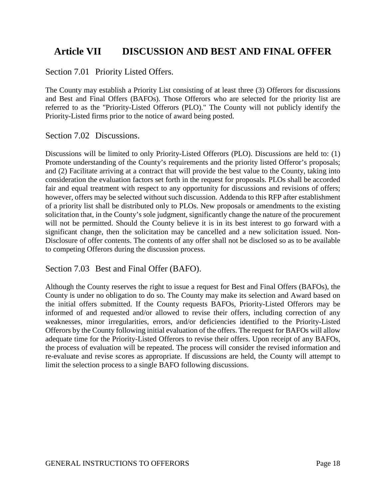## <span id="page-17-0"></span>**Article VII DISCUSSION AND BEST AND FINAL OFFER**

<span id="page-17-1"></span>Section 7.01 Priority Listed Offers.

The County may establish a Priority List consisting of at least three (3) Offerors for discussions and Best and Final Offers (BAFOs). Those Offerors who are selected for the priority list are referred to as the "Priority-Listed Offerors (PLO)." The County will not publicly identify the Priority-Listed firms prior to the notice of award being posted.

<span id="page-17-2"></span>Section 7.02 Discussions.

Discussions will be limited to only Priority-Listed Offerors (PLO). Discussions are held to: (1) Promote understanding of the County's requirements and the priority listed Offeror's proposals; and (2) Facilitate arriving at a contract that will provide the best value to the County, taking into consideration the evaluation factors set forth in the request for proposals. PLOs shall be accorded fair and equal treatment with respect to any opportunity for discussions and revisions of offers; however, offers may be selected without such discussion. Addenda to this RFP after establishment of a priority list shall be distributed only to PLOs. New proposals or amendments to the existing solicitation that, in the County's sole judgment, significantly change the nature of the procurement will not be permitted. Should the County believe it is in its best interest to go forward with a significant change, then the solicitation may be cancelled and a new solicitation issued. Non-Disclosure of offer contents. The contents of any offer shall not be disclosed so as to be available to competing Offerors during the discussion process.

<span id="page-17-3"></span>Section 7.03 Best and Final Offer (BAFO).

Although the County reserves the right to issue a request for Best and Final Offers (BAFOs), the County is under no obligation to do so. The County may make its selection and Award based on the initial offers submitted. If the County requests BAFOs, Priority-Listed Offerors may be informed of and requested and/or allowed to revise their offers, including correction of any weaknesses, minor irregularities, errors, and/or deficiencies identified to the Priority-Listed Offerors by the County following initial evaluation of the offers. The request for BAFOs will allow adequate time for the Priority-Listed Offerors to revise their offers. Upon receipt of any BAFOs, the process of evaluation will be repeated. The process will consider the revised information and re-evaluate and revise scores as appropriate. If discussions are held, the County will attempt to limit the selection process to a single BAFO following discussions.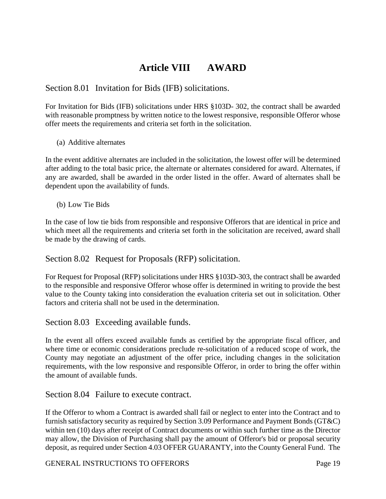# **Article VIII AWARD**

<span id="page-18-1"></span><span id="page-18-0"></span>Section 8.01 Invitation for Bids (IFB) solicitations.

For Invitation for Bids (IFB) solicitations under HRS §103D- 302, the contract shall be awarded with reasonable promptness by written notice to the lowest responsive, responsible Offeror whose offer meets the requirements and criteria set forth in the solicitation.

(a) Additive alternates

In the event additive alternates are included in the solicitation, the lowest offer will be determined after adding to the total basic price, the alternate or alternates considered for award. Alternates, if any are awarded, shall be awarded in the order listed in the offer. Award of alternates shall be dependent upon the availability of funds.

(b) Low Tie Bids

In the case of low tie bids from responsible and responsive Offerors that are identical in price and which meet all the requirements and criteria set forth in the solicitation are received, award shall be made by the drawing of cards.

<span id="page-18-2"></span>Section 8.02 Request for Proposals (RFP) solicitation.

For Request for Proposal (RFP) solicitations under HRS §103D-303, the contract shall be awarded to the responsible and responsive Offeror whose offer is determined in writing to provide the best value to the County taking into consideration the evaluation criteria set out in solicitation. Other factors and criteria shall not be used in the determination.

<span id="page-18-3"></span>Section 8.03 Exceeding available funds.

In the event all offers exceed available funds as certified by the appropriate fiscal officer, and where time or economic considerations preclude re-solicitation of a reduced scope of work, the County may negotiate an adjustment of the offer price, including changes in the solicitation requirements, with the low responsive and responsible Offeror, in order to bring the offer within the amount of available funds.

<span id="page-18-4"></span>Section 8.04 Failure to execute contract.

If the Offeror to whom a Contract is awarded shall fail or neglect to enter into the Contract and to furnish satisfactory security as required by Section 3.09 Performance and Payment Bonds (GT&C) within ten (10) days after receipt of Contract documents or within such further time as the Director may allow, the Division of Purchasing shall pay the amount of Offeror's bid or proposal security deposit, as required under Section 4.03 OFFER GUARANTY, into the County General Fund. The

GENERAL INSTRUCTIONS TO OFFERORS TO Page 19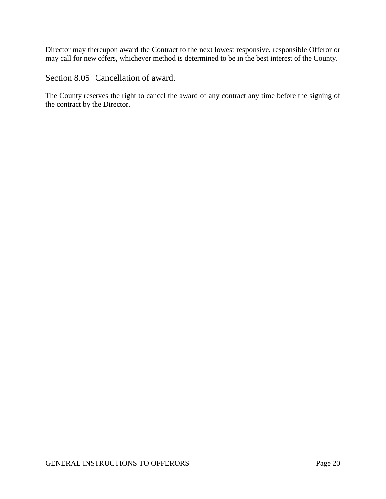Director may thereupon award the Contract to the next lowest responsive, responsible Offeror or may call for new offers, whichever method is determined to be in the best interest of the County.

<span id="page-19-0"></span>Section 8.05 Cancellation of award.

The County reserves the right to cancel the award of any contract any time before the signing of the contract by the Director.